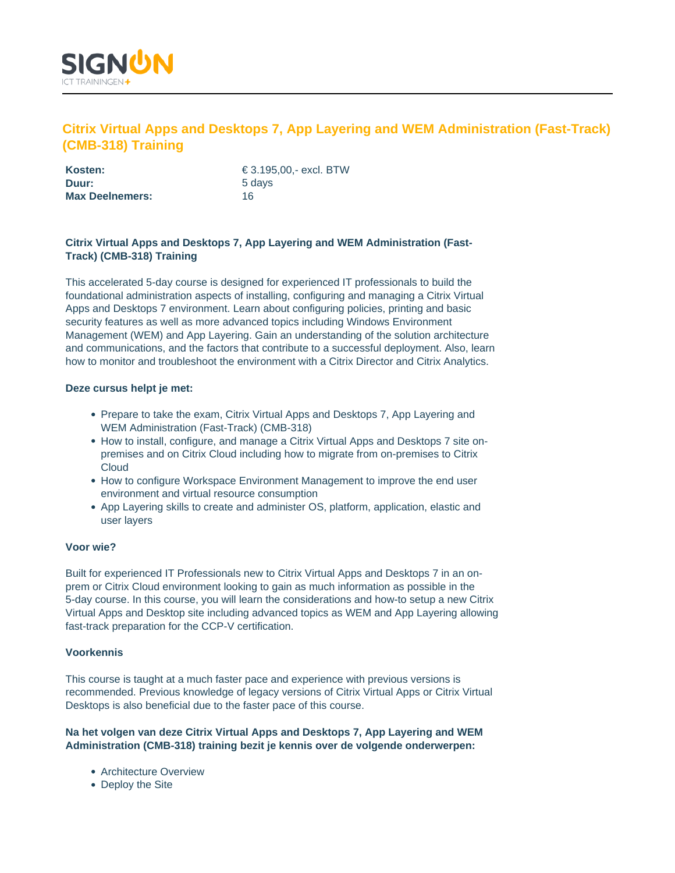

# **Citrix Virtual Apps and Desktops 7, App Layering and WEM Administration (Fast-Track) (CMB-318) Training**

| Kosten:                | € 3.195.00.- excl. BTW |
|------------------------|------------------------|
| Duur:                  | 5 days                 |
| <b>Max Deelnemers:</b> | 16                     |

# **Citrix Virtual Apps and Desktops 7, App Layering and WEM Administration (Fast-Track) (CMB-318) Training**

This accelerated 5-day course is designed for experienced IT professionals to build the foundational administration aspects of installing, configuring and managing a Citrix Virtual Apps and Desktops 7 environment. Learn about configuring policies, printing and basic security features as well as more advanced topics including Windows Environment Management (WEM) and App Layering. Gain an understanding of the solution architecture and communications, and the factors that contribute to a successful deployment. Also, learn how to monitor and troubleshoot the environment with a Citrix Director and Citrix Analytics.

### **Deze cursus helpt je met:**

- Prepare to take the exam, Citrix Virtual Apps and Desktops 7, App Layering and WEM Administration (Fast-Track) (CMB-318)
- How to install, configure, and manage a Citrix Virtual Apps and Desktops 7 site onpremises and on Citrix Cloud including how to migrate from on-premises to Citrix **Cloud**
- How to configure Workspace Environment Management to improve the end user environment and virtual resource consumption
- App Layering skills to create and administer OS, platform, application, elastic and user layers

#### **Voor wie?**

Built for experienced IT Professionals new to Citrix Virtual Apps and Desktops 7 in an onprem or Citrix Cloud environment looking to gain as much information as possible in the 5-day course. In this course, you will learn the considerations and how-to setup a new Citrix Virtual Apps and Desktop site including advanced topics as WEM and App Layering allowing fast-track preparation for the CCP-V certification.

#### **Voorkennis**

This course is taught at a much faster pace and experience with previous versions is recommended. Previous knowledge of legacy versions of Citrix Virtual Apps or Citrix Virtual Desktops is also beneficial due to the faster pace of this course.

### **Na het volgen van deze Citrix Virtual Apps and Desktops 7, App Layering and WEM Administration (CMB-318) training bezit je kennis over de volgende onderwerpen:**

- Architecture Overview
- Deploy the Site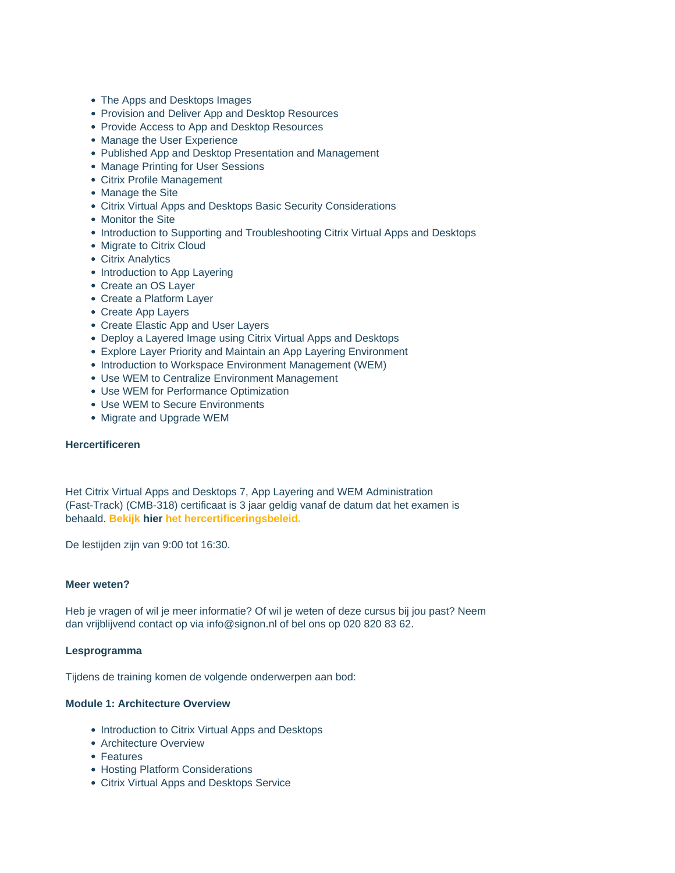- The Apps and Desktops Images
- Provision and Deliver App and Desktop Resources
- Provide Access to App and Desktop Resources
- Manage the User Experience
- Published App and Desktop Presentation and Management
- Manage Printing for User Sessions
- Citrix Profile Management
- Manage the Site
- Citrix Virtual Apps and Desktops Basic Security Considerations
- Monitor the Site
- Introduction to Supporting and Troubleshooting Citrix Virtual Apps and Desktops
- Migrate to Citrix Cloud
- Citrix Analytics
- Introduction to App Layering
- Create an OS Layer
- Create a Platform Layer
- Create App Layers
- Create Elastic App and User Layers
- Deploy a Layered Image using Citrix Virtual Apps and Desktops
- Explore Layer Priority and Maintain an App Layering Environment
- Introduction to Workspace Environment Management (WEM)
- Use WEM to Centralize Environment Management
- Use WEM for Performance Optimization
- Use WEM to Secure Environments
- Migrate and Upgrade WEM

#### **Hercertificeren**

Het Citrix Virtual Apps and Desktops 7, App Layering and WEM Administration (Fast-Track) (CMB-318) certificaat is 3 jaar geldig vanaf de datum dat het examen is behaald. **Bekijk hier het hercertificeringsbeleid.**

De lestijden zijn van 9:00 tot 16:30.

### **Meer weten?**

Heb je vragen of wil je meer informatie? Of wil je weten of deze cursus bij jou past? Neem dan vrijblijvend contact op via info@signon.nl of bel ons op 020 820 83 62.

#### **Lesprogramma**

Tijdens de training komen de volgende onderwerpen aan bod:

## **Module 1: Architecture Overview**

- Introduction to Citrix Virtual Apps and Desktops
- Architecture Overview
- Features
- Hosting Platform Considerations
- Citrix Virtual Apps and Desktops Service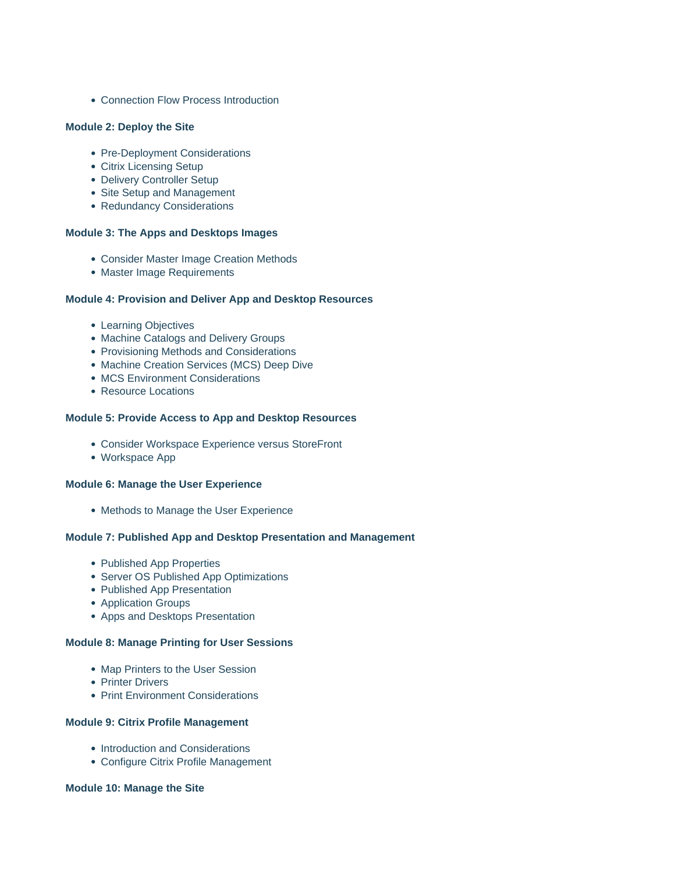• Connection Flow Process Introduction

#### **Module 2: Deploy the Site**

- Pre-Deployment Considerations
- Citrix Licensing Setup
- Delivery Controller Setup
- Site Setup and Management
- Redundancy Considerations

### **Module 3: The Apps and Desktops Images**

- Consider Master Image Creation Methods
- Master Image Requirements

#### **Module 4: Provision and Deliver App and Desktop Resources**

- Learning Objectives
- Machine Catalogs and Delivery Groups
- Provisioning Methods and Considerations
- Machine Creation Services (MCS) Deep Dive
- MCS Environment Considerations
- Resource Locations

# **Module 5: Provide Access to App and Desktop Resources**

- Consider Workspace Experience versus StoreFront
- Workspace App

#### **Module 6: Manage the User Experience**

• Methods to Manage the User Experience

#### **Module 7: Published App and Desktop Presentation and Management**

- Published App Properties
- Server OS Published App Optimizations
- Published App Presentation
- Application Groups
- Apps and Desktops Presentation

### **Module 8: Manage Printing for User Sessions**

- Map Printers to the User Session
- Printer Drivers
- Print Environment Considerations

### **Module 9: Citrix Profile Management**

- Introduction and Considerations
- Configure Citrix Profile Management

### **Module 10: Manage the Site**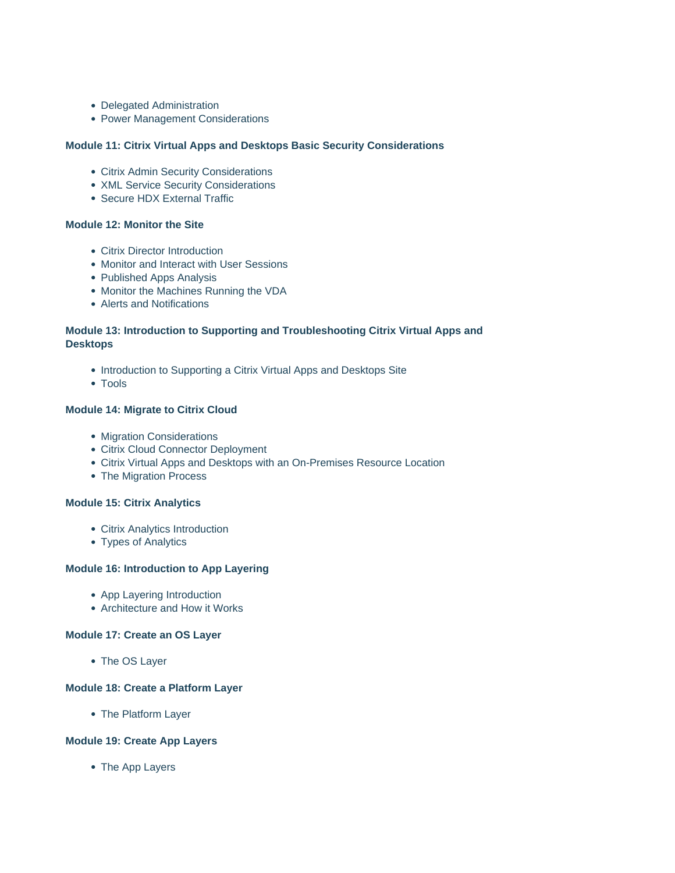- Delegated Administration
- Power Management Considerations

## **Module 11: Citrix Virtual Apps and Desktops Basic Security Considerations**

- Citrix Admin Security Considerations
- XML Service Security Considerations
- Secure HDX External Traffic

### **Module 12: Monitor the Site**

- Citrix Director Introduction
- Monitor and Interact with User Sessions
- Published Apps Analysis
- Monitor the Machines Running the VDA
- Alerts and Notifications

# **Module 13: Introduction to Supporting and Troubleshooting Citrix Virtual Apps and Desktops**

- Introduction to Supporting a Citrix Virtual Apps and Desktops Site
- Tools

### **Module 14: Migrate to Citrix Cloud**

- Migration Considerations
- Citrix Cloud Connector Deployment
- Citrix Virtual Apps and Desktops with an On-Premises Resource Location
- The Migration Process

#### **Module 15: Citrix Analytics**

- Citrix Analytics Introduction
- Types of Analytics

## **Module 16: Introduction to App Layering**

- App Layering Introduction
- Architecture and How it Works

#### **Module 17: Create an OS Layer**

• The OS Layer

### **Module 18: Create a Platform Layer**

• The Platform Layer

### **Module 19: Create App Layers**

• The App Layers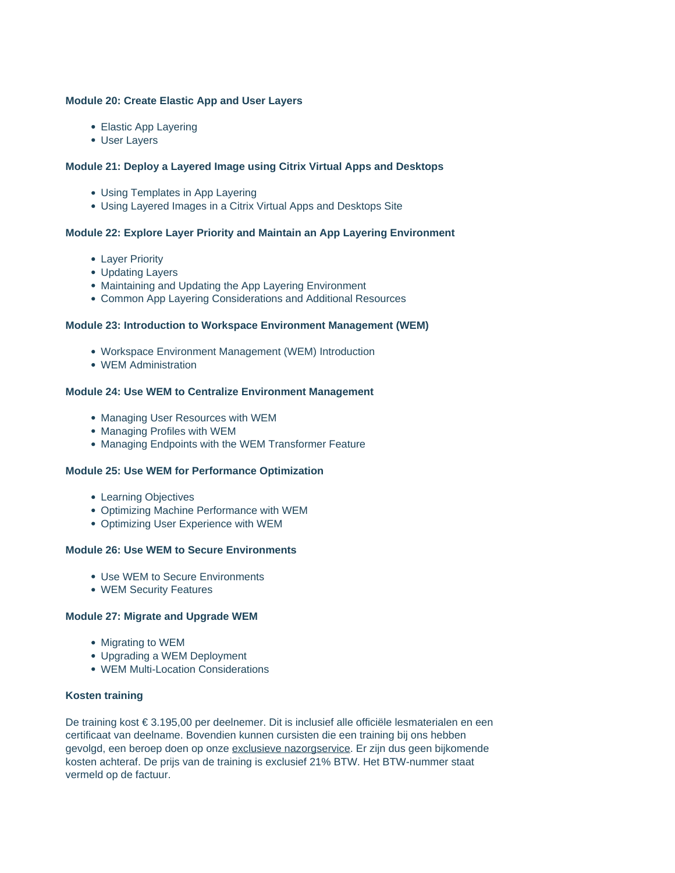### **Module 20: Create Elastic App and User Layers**

- Elastic App Layering
- User Layers

### **Module 21: Deploy a Layered Image using Citrix Virtual Apps and Desktops**

- Using Templates in App Layering
- Using Layered Images in a Citrix Virtual Apps and Desktops Site

### **Module 22: Explore Layer Priority and Maintain an App Layering Environment**

- Layer Priority
- Updating Layers
- Maintaining and Updating the App Layering Environment
- Common App Layering Considerations and Additional Resources

#### **Module 23: Introduction to Workspace Environment Management (WEM)**

- Workspace Environment Management (WEM) Introduction
- WEM Administration

#### **Module 24: Use WEM to Centralize Environment Management**

- Managing User Resources with WEM
- Managing Profiles with WEM
- Managing Endpoints with the WEM Transformer Feature

#### **Module 25: Use WEM for Performance Optimization**

- Learning Objectives
- Optimizing Machine Performance with WEM
- Optimizing User Experience with WEM

#### **Module 26: Use WEM to Secure Environments**

- Use WEM to Secure Environments
- WEM Security Features

#### **Module 27: Migrate and Upgrade WEM**

- Migrating to WEM
- Upgrading a WEM Deployment
- WEM Multi-Location Considerations

#### **Kosten training**

De training kost € 3.195,00 per deelnemer. Dit is inclusief alle officiële lesmaterialen en een certificaat van deelname. Bovendien kunnen cursisten die een training bij ons hebben gevolgd, een beroep doen op onze exclusieve nazorgservice. Er zijn dus geen bijkomende kosten achteraf. De prijs van de training is exclusief 21% BTW. Het BTW-nummer staat vermeld op de factuur.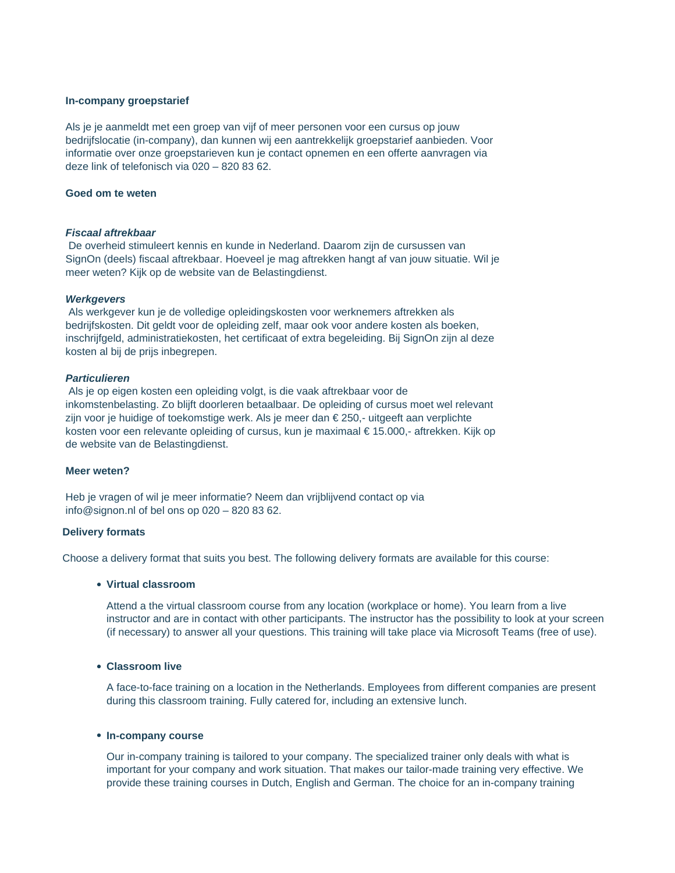#### **In-company groepstarief**

Als je je aanmeldt met een groep van vijf of meer personen voor een cursus op jouw bedrijfslocatie (in-company), dan kunnen wij een aantrekkelijk groepstarief aanbieden. Voor informatie over onze groepstarieven kun je contact opnemen en een offerte aanvragen via deze link of telefonisch via 020 – 820 83 62.

### **Goed om te weten**

#### **Fiscaal aftrekbaar**

De overheid stimuleert kennis en kunde in Nederland. Daarom zijn de cursussen van SignOn (deels) fiscaal aftrekbaar. Hoeveel je mag aftrekken hangt af van jouw situatie. Wil je meer weten? Kijk op de website van de Belastingdienst.

#### **Werkgevers**

Als werkgever kun je de volledige opleidingskosten voor werknemers aftrekken als bedrijfskosten. Dit geldt voor de opleiding zelf, maar ook voor andere kosten als boeken, inschrijfgeld, administratiekosten, het certificaat of extra begeleiding. Bij SignOn zijn al deze kosten al bij de prijs inbegrepen.

#### **Particulieren**

Als je op eigen kosten een opleiding volgt, is die vaak aftrekbaar voor de inkomstenbelasting. Zo blijft doorleren betaalbaar. De opleiding of cursus moet wel relevant zijn voor je huidige of toekomstige werk. Als je meer dan € 250,- uitgeeft aan verplichte kosten voor een relevante opleiding of cursus, kun je maximaal € 15.000,- aftrekken. Kijk op de website van de Belastingdienst.

#### **Meer weten?**

Heb je vragen of wil je meer informatie? Neem dan vrijblijvend contact op via info@signon.nl of bel ons op 020 – 820 83 62.

#### **Delivery formats**

Choose a delivery format that suits you best. The following delivery formats are available for this course:

#### **Virtual classroom**

Attend a the virtual classroom course from any location (workplace or home). You learn from a live instructor and are in contact with other participants. The instructor has the possibility to look at your screen (if necessary) to answer all your questions. This training will take place via Microsoft Teams (free of use).

### **Classroom live**

A face-to-face training on a location in the Netherlands. Employees from different companies are present during this classroom training. Fully catered for, including an extensive lunch.

#### **In-company course**

Our in-company training is tailored to your company. The specialized trainer only deals with what is important for your company and work situation. That makes our tailor-made training very effective. We provide these training courses in Dutch, English and German. The choice for an in-company training